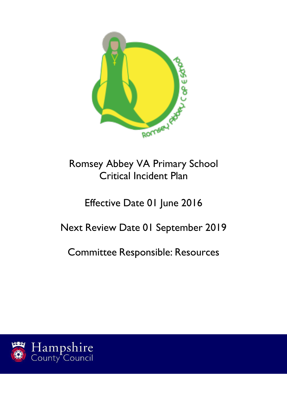

# Romsey Abbey VA Primary School Critical Incident Plan

# Effective Date 01 June 2016

# Next Review Date 01 September 2019

Committee Responsible: Resources

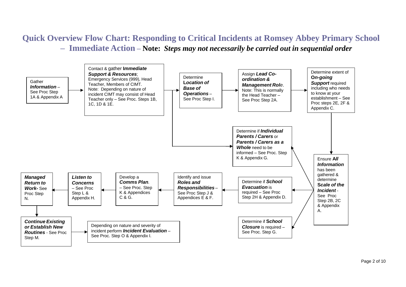# **Quick Overview Flow Chart: Responding to Critical Incidents at Romsey Abbey Primary School – Immediate Action – Note:** *Steps may not necessarily be carried out in sequential order*

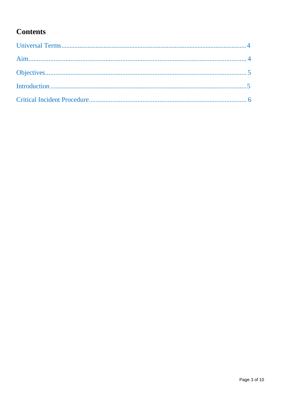# **Contents**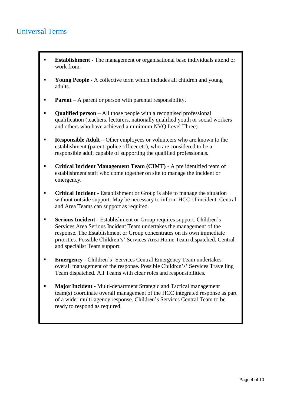## <span id="page-3-0"></span>Universal Terms

- **Establishment** The management or organisational base individuals attend or work from.
- **Young People** A collective term which includes all children and young adults.
- **Parent** A parent or person with parental responsibility.
- **• Qualified person** All those people with a recognised professional qualification (teachers, lecturers, nationally qualified youth or social workers and others who have achieved a minimum NVQ Level Three).
- **Responsible Adult** Other employees or volunteers who are known to the establishment (parent, police officer etc), who are considered to be a responsible adult capable of supporting the qualified professionals.
- **Critical Incident Management Team (CIMT)** A pre identified team of establishment staff who come together on site to manage the incident or emergency.
- **Critical Incident** Establishment or Group is able to manage the situation without outside support. May be necessary to inform HCC of incident. Central and Area Teams can support as required.
- **Serious Incident** Establishment or Group requires support. Children's Services Area Serious Incident Team undertakes the management of the response. The Establishment or Group concentrates on its own immediate priorities. Possible Children's' Services Area Home Team dispatched. Central and specialist Team support.
- **Emergency** Children's' Services Central Emergency Team undertakes overall management of the response. Possible Children's' Services Travelling Team dispatched. All Teams with clear roles and responsibilities.
- **Major Incident** Multi-department Strategic and Tactical management team(s) coordinate overall management of the HCC integrated response as part of a wider multi-agency response. Children's Services Central Team to be ready to respond as required.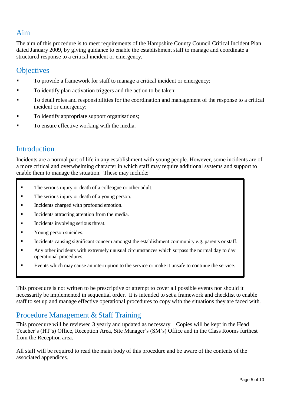## <span id="page-4-0"></span>Aim

The aim of this procedure is to meet requirements of the Hampshire County Council Critical Incident Plan dated January 2009, by giving guidance to enable the establishment staff to manage and coordinate a structured response to a critical incident or emergency.

### <span id="page-4-1"></span>**Objectives**

- To provide a framework for staff to manage a critical incident or emergency;
- To identify plan activation triggers and the action to be taken;
- To detail roles and responsibilities for the coordination and management of the response to a critical incident or emergency;
- To identify appropriate support organisations;
- To ensure effective working with the media.

### <span id="page-4-2"></span>**Introduction**

Incidents are a normal part of life in any establishment with young people. However, some incidents are of a more critical and overwhelming character in which staff may require additional systems and support to enable them to manage the situation. These may include:

- $\blacksquare$ The serious injury or death of a colleague or other adult.
- $\blacksquare$ The serious injury or death of a young person.
- $\blacksquare$ Incidents charged with profound emotion.
- $\blacksquare$ Incidents attracting attention from the media.
- . Incidents involving serious threat.
- $\blacksquare$ Young person suicides.
- $\blacksquare$ Incidents causing significant concern amongst the establishment community e.g. parents or staff.
- . Any other incidents with extremely unusual circumstances which surpass the normal day to day operational procedures.
- . Events which may cause an interruption to the service or make it unsafe to continue the service.

This procedure is not written to be prescriptive or attempt to cover all possible events nor should it necessarily be implemented in sequential order. It is intended to set a framework and checklist to enable staff to set up and manage effective operational procedures to copy with the situations they are faced with.

### Procedure Management & Staff Training

This procedure will be reviewed 3 yearly and updated as necessary. Copies will be kept in the Head Teacher's (HT's) Office, Reception Area, Site Manager's (SM's) Office and in the Class Rooms furthest from the Reception area.

All staff will be required to read the main body of this procedure and be aware of the contents of the associated appendices.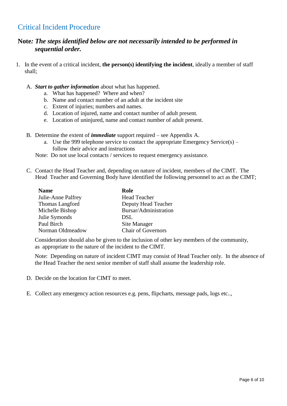## <span id="page-5-0"></span>Critical Incident Procedure

### **Note***: The steps identified below are not necessarily intended to be performed in sequential order.*

- 1. In the event of a critical incident, **the person(s) identifying the incident**, ideally a member of staff shall;
	- A. *Start to gather information* about what has happened.
		- a. What has happened? Where and when?
		- b. Name and contact number of an adult at the incident site
		- c. Extent of injuries; numbers and names.
		- d. Location of injured, name and contact number of adult present.
		- e. Location of uninjured, name and contact number of adult present.
	- B. Determine the extent of *immediate* support required see Appendix A.
		- a. Use the 999 telephone service to contact the appropriate Emergency Service(s) follow their advice and instructions
		- Note: Do not use local contacts / services to request emergency assistance.
	- C. Contact the Head Teacher and, depending on nature of incident, members of the CIMT. The Head Teacher and Governing Body have identified the following personnel to act as the CIMT;

| <b>Name</b>        | Role                      |
|--------------------|---------------------------|
| Julie-Anne Palfrey | <b>Head Teacher</b>       |
| Thomas Langford    | Deputy Head Teacher       |
| Michelle Bishop    | Bursar/Administration     |
| Julie Symonds      | DSL                       |
| Paul Birch         | Site Manager              |
| Norman Oldmeadow   | <b>Chair of Governors</b> |

Consideration should also be given to the inclusion of other key members of the community, as appropriate to the nature of the incident to the CIMT.

Note: Depending on nature of incident CIMT may consist of Head Teacher only. In the absence of the Head Teacher the next senior member of staff shall assume the leadership role.

- D. Decide on the location for CIMT to meet.
- E. Collect any emergency action resources e.g. pens, flipcharts, message pads, logs etc..,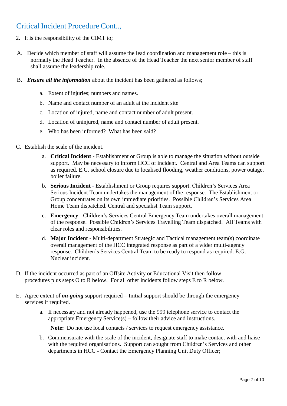## Critical Incident Procedure Cont..,

- 2. It is the responsibility of the CIMT to;
- A. Decide which member of staff will assume the lead coordination and management role this is normally the Head Teacher. In the absence of the Head Teacher the next senior member of staff shall assume the leadership role.
- B. *Ensure all the information* about the incident has been gathered as follows;
	- a. Extent of injuries; numbers and names.
	- b. Name and contact number of an adult at the incident site
	- c. Location of injured, name and contact number of adult present.
	- d. Location of uninjured, name and contact number of adult present.
	- e. Who has been informed? What has been said?
- C. Establish the scale of the incident.
	- a. **Critical Incident -** Establishment or Group is able to manage the situation without outside support. May be necessary to inform HCC of incident. Central and Area Teams can support as required. E.G. school closure due to localised flooding, weather conditions, power outage, boiler failure.
	- b. **Serious Incident -** Establishment or Group requires support. Children's Services Area Serious Incident Team undertakes the management of the response. The Establishment or Group concentrates on its own immediate priorities. Possible Children's Services Area Home Team dispatched. Central and specialist Team support.
	- c. **Emergency -** Children's Services Central Emergency Team undertakes overall management of the response. Possible Children's Services Travelling Team dispatched. All Teams with clear roles and responsibilities.
	- d. **Major Incident -** Multi-department Strategic and Tactical management team(s) coordinate overall management of the HCC integrated response as part of a wider multi-agency response. Children's Services Central Team to be ready to respond as required. E.G. Nuclear incident.
- D. If the incident occurred as part of an Offsite Activity or Educational Visit then follow procedures plus steps O to R below. For all other incidents follow steps E to R below.
- E. Agree extent of *on-going* support required Initial support should be through the emergency services if required.
	- a. If necessary and not already happened, use the 999 telephone service to contact the appropriate Emergency Service(s) – follow their advice and instructions.

**Note:** Do not use local contacts / services to request emergency assistance.

b. Commensurate with the scale of the incident, designate staff to make contact with and liaise with the required organisations. Support can sought from Children's Services and other departments in HCC - Contact the Emergency Planning Unit Duty Officer;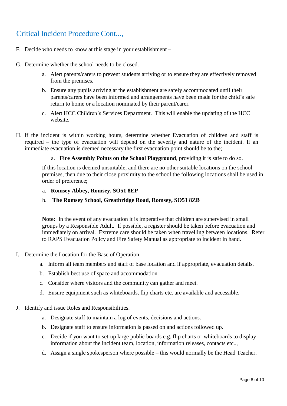## Critical Incident Procedure Cont...,

- F. Decide who needs to know at this stage in your establishment –
- G. Determine whether the school needs to be closed.
	- a. Alert parents/carers to prevent students arriving or to ensure they are effectively removed from the premises.
	- b. Ensure any pupils arriving at the establishment are safely accommodated until their parents/carers have been informed and arrangements have been made for the child's safe return to home or a location nominated by their parent/carer.
	- c. Alert HCC Children's Services Department. This will enable the updating of the HCC website.
- H. If the incident is within working hours, determine whether Evacuation of children and staff is required – the type of evacuation will depend on the severity and nature of the incident. If an immediate evacuation is deemed necessary the first evacuation point should be to the;

#### a. **Fire Assembly Points on the School Playground**, providing it is safe to do so.

If this location is deemed unsuitable, and there are no other suitable locations on the school premises, then due to their close proximity to the school the following locations shall be used in order of preference;

#### a. **Romsey Abbey, Romsey, SO51 8EP**

#### b. **The Romsey School, Greatbridge Road, Romsey, SO51 8ZB**

**Note:** In the event of any evacuation it is imperative that children are supervised in small groups by a Responsible Adult. If possible, a register should be taken before evacuation and immediately on arrival. Extreme care should be taken when travelling between locations. Refer to RAPS Evacuation Policy and Fire Safety Manual as appropriate to incident in hand.

#### I. Determine the Location for the Base of Operation

- a. Inform all team members and staff of base location and if appropriate, evacuation details.
- b. Establish best use of space and accommodation.
- c. Consider where visitors and the community can gather and meet.
- d. Ensure equipment such as whiteboards, flip charts etc. are available and accessible.

#### J. Identify and issue Roles and Responsibilities.

- a. Designate staff to maintain a log of events, decisions and actions.
- b. Designate staff to ensure information is passed on and actions followed up.
- c. Decide if you want to set-up large public boards e.g. flip charts or whiteboards to display information about the incident team, location, information releases, contacts etc..,
- d. Assign a single spokesperson where possible this would normally be the Head Teacher.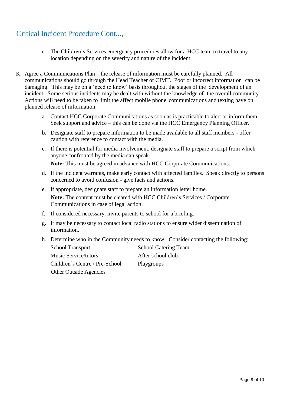## Critical Incident Procedure Cont...,

- e. The Children's Services emergency procedures allow for a HCC team to travel to any location depending on the severity and nature of the incident.
- K. Agree a Communications Plan the release of information must be carefully planned. All communications should go through the Head Teacher or CIMT. Poor or incorrect information can be damaging. This may be on a 'need to know' basis throughout the stages of the development of an incident. Some serious incidents may be dealt with without the knowledge of the overall community. Actions will need to be taken to limit the affect mobile phone communications and texting have on planned release of information.
	- a. Contact HCC Corporate Communications as soon as is practicable to alert or inform them. Seek support and advice – this can be done via the HCC Emergency Planning Officer.
	- b. Designate staff to prepare information to be made available to all staff members offer caution with reference to contact with the media.
	- c. If there is potential for media involvement, designate staff to prepare a script from which anyone confronted by the media can speak.

**Note:** This must be agreed in advance with HCC Corporate Communications.

- d. If the incident warrants, make early contact with affected families. Speak directly to persons concerned to avoid confusion - give facts and actions.
- e. If appropriate, designate staff to prepare an information letter home. **Note:** The content must be cleared with HCC Children's Services / Corporate Communications in case of legal action.
- f. If considered necessary, invite parents to school for a briefing.
- g. It may be necessary to contact local radio stations to ensure wider dissemination of information.
- h. Determine who in the Community needs to know. Consider contacting the following:
	- School Transport School Catering Team Music Service/tutors After school club Children's Centre / Pre-School Playgroups Other Outside Agencies